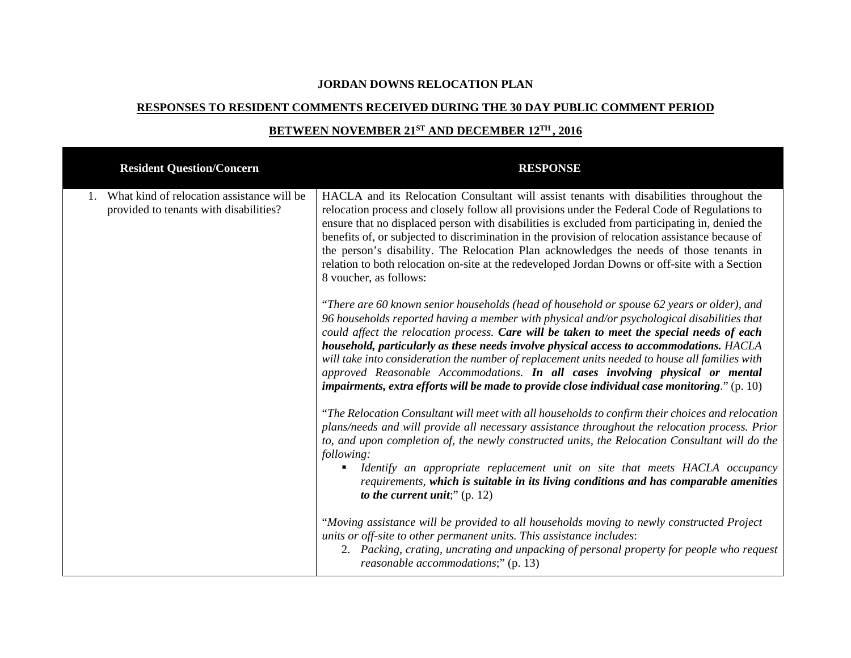## **JORDAN DOWNS RELOCATION PLAN**

## **RESPONSES TO RESIDENT COMMENTS RECEIVED DURING THE 30 DAY PUBLIC COMMENT PERIOD**

# **BETWEEN NOVEMBER 21ST AND DECEMBER 12TH, 2016**

| <b>Resident Question/Concern</b>                                                     | <b>RESPONSE</b>                                                                                                                                                                                                                                                                                                                                                                                                                                                                                                                                                                                                                                                         |
|--------------------------------------------------------------------------------------|-------------------------------------------------------------------------------------------------------------------------------------------------------------------------------------------------------------------------------------------------------------------------------------------------------------------------------------------------------------------------------------------------------------------------------------------------------------------------------------------------------------------------------------------------------------------------------------------------------------------------------------------------------------------------|
| What kind of relocation assistance will be<br>provided to tenants with disabilities? | HACLA and its Relocation Consultant will assist tenants with disabilities throughout the<br>relocation process and closely follow all provisions under the Federal Code of Regulations to<br>ensure that no displaced person with disabilities is excluded from participating in, denied the<br>benefits of, or subjected to discrimination in the provision of relocation assistance because of<br>the person's disability. The Relocation Plan acknowledges the needs of those tenants in<br>relation to both relocation on-site at the redeveloped Jordan Downs or off-site with a Section<br>8 voucher, as follows:                                                 |
|                                                                                      | "There are 60 known senior households (head of household or spouse 62 years or older), and<br>96 households reported having a member with physical and/or psychological disabilities that<br>could affect the relocation process. Care will be taken to meet the special needs of each<br>household, particularly as these needs involve physical access to accommodations. HACLA<br>will take into consideration the number of replacement units needed to house all families with<br>approved Reasonable Accommodations. In all cases involving physical or mental<br>impairments, extra efforts will be made to provide close individual case monitoring." $(p. 10)$ |
|                                                                                      | "The Relocation Consultant will meet with all households to confirm their choices and relocation<br>plans/needs and will provide all necessary assistance throughout the relocation process. Prior<br>to, and upon completion of, the newly constructed units, the Relocation Consultant will do the<br>following:<br>Identify an appropriate replacement unit on site that meets HACLA occupancy<br>٠<br>requirements, which is suitable in its living conditions and has comparable amenities<br>to the current unit;" $(p. 12)$                                                                                                                                      |
|                                                                                      | "Moving assistance will be provided to all households moving to newly constructed Project<br>units or off-site to other permanent units. This assistance includes:<br>2. Packing, crating, uncrating and unpacking of personal property for people who request<br>reasonable accommodations;" (p. 13)                                                                                                                                                                                                                                                                                                                                                                   |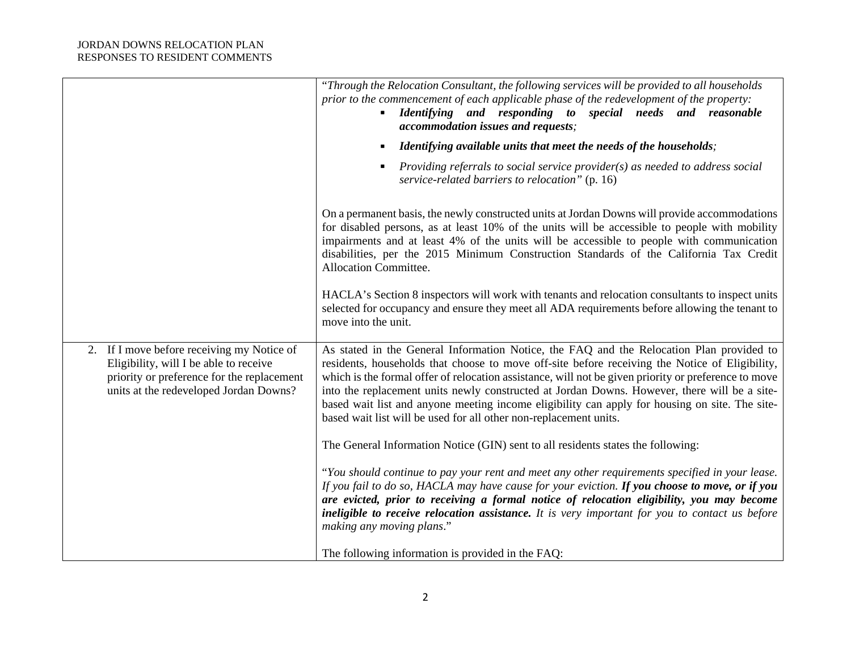|                                                                                                                                                                              | "Through the Relocation Consultant, the following services will be provided to all households<br>prior to the commencement of each applicable phase of the redevelopment of the property:<br>Identifying and responding to special needs and reasonable<br>$\blacksquare$<br><i>accommodation issues and requests;</i>                                                                                                                                                                                                                                                                                                                                                                                                                                                                                                                                                                                                                                                                                                                                                                        |
|------------------------------------------------------------------------------------------------------------------------------------------------------------------------------|-----------------------------------------------------------------------------------------------------------------------------------------------------------------------------------------------------------------------------------------------------------------------------------------------------------------------------------------------------------------------------------------------------------------------------------------------------------------------------------------------------------------------------------------------------------------------------------------------------------------------------------------------------------------------------------------------------------------------------------------------------------------------------------------------------------------------------------------------------------------------------------------------------------------------------------------------------------------------------------------------------------------------------------------------------------------------------------------------|
|                                                                                                                                                                              | Identifying available units that meet the needs of the households;<br>$\blacksquare$                                                                                                                                                                                                                                                                                                                                                                                                                                                                                                                                                                                                                                                                                                                                                                                                                                                                                                                                                                                                          |
|                                                                                                                                                                              | Providing referrals to social service provider( $s$ ) as needed to address social<br>service-related barriers to relocation" (p. 16)                                                                                                                                                                                                                                                                                                                                                                                                                                                                                                                                                                                                                                                                                                                                                                                                                                                                                                                                                          |
|                                                                                                                                                                              | On a permanent basis, the newly constructed units at Jordan Downs will provide accommodations<br>for disabled persons, as at least 10% of the units will be accessible to people with mobility<br>impairments and at least 4% of the units will be accessible to people with communication<br>disabilities, per the 2015 Minimum Construction Standards of the California Tax Credit<br>Allocation Committee.<br>HACLA's Section 8 inspectors will work with tenants and relocation consultants to inspect units<br>selected for occupancy and ensure they meet all ADA requirements before allowing the tenant to<br>move into the unit.                                                                                                                                                                                                                                                                                                                                                                                                                                                     |
| 2. If I move before receiving my Notice of<br>Eligibility, will I be able to receive<br>priority or preference for the replacement<br>units at the redeveloped Jordan Downs? | As stated in the General Information Notice, the FAQ and the Relocation Plan provided to<br>residents, households that choose to move off-site before receiving the Notice of Eligibility,<br>which is the formal offer of relocation assistance, will not be given priority or preference to move<br>into the replacement units newly constructed at Jordan Downs. However, there will be a site-<br>based wait list and anyone meeting income eligibility can apply for housing on site. The site-<br>based wait list will be used for all other non-replacement units.<br>The General Information Notice (GIN) sent to all residents states the following:<br>"You should continue to pay your rent and meet any other requirements specified in your lease.<br>If you fail to do so, HACLA may have cause for your eviction. If you choose to move, or if you<br>are evicted, prior to receiving a formal notice of relocation eligibility, you may become<br>ineligible to receive relocation assistance. It is very important for you to contact us before<br>making any moving plans." |
|                                                                                                                                                                              | The following information is provided in the FAQ:                                                                                                                                                                                                                                                                                                                                                                                                                                                                                                                                                                                                                                                                                                                                                                                                                                                                                                                                                                                                                                             |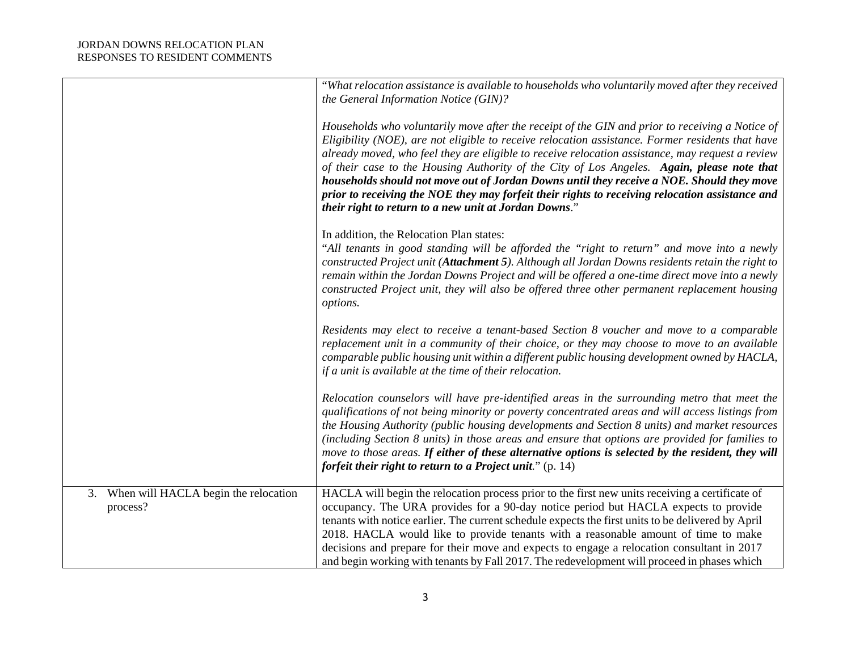|                                                        | "What relocation assistance is available to households who voluntarily moved after they received<br>the General Information Notice (GIN)?                                                                                                                                                                                                                                                                                                                                                                                                                                                                                                                      |
|--------------------------------------------------------|----------------------------------------------------------------------------------------------------------------------------------------------------------------------------------------------------------------------------------------------------------------------------------------------------------------------------------------------------------------------------------------------------------------------------------------------------------------------------------------------------------------------------------------------------------------------------------------------------------------------------------------------------------------|
|                                                        | Households who voluntarily move after the receipt of the GIN and prior to receiving a Notice of<br>Eligibility (NOE), are not eligible to receive relocation assistance. Former residents that have<br>already moved, who feel they are eligible to receive relocation assistance, may request a review<br>of their case to the Housing Authority of the City of Los Angeles. Again, please note that<br>households should not move out of Jordan Downs until they receive a NOE. Should they move<br>prior to receiving the NOE they may forfeit their rights to receiving relocation assistance and<br>their right to return to a new unit at Jordan Downs." |
|                                                        | In addition, the Relocation Plan states:<br>"All tenants in good standing will be afforded the "right to return" and move into a newly<br>constructed Project unit (Attachment 5). Although all Jordan Downs residents retain the right to<br>remain within the Jordan Downs Project and will be offered a one-time direct move into a newly<br>constructed Project unit, they will also be offered three other permanent replacement housing<br>options.                                                                                                                                                                                                      |
|                                                        | Residents may elect to receive a tenant-based Section 8 voucher and move to a comparable<br>replacement unit in a community of their choice, or they may choose to move to an available<br>comparable public housing unit within a different public housing development owned by HACLA,<br>if a unit is available at the time of their relocation.                                                                                                                                                                                                                                                                                                             |
|                                                        | Relocation counselors will have pre-identified areas in the surrounding metro that meet the<br>qualifications of not being minority or poverty concentrated areas and will access listings from<br>the Housing Authority (public housing developments and Section 8 units) and market resources<br>(including Section 8 units) in those areas and ensure that options are provided for families to<br>move to those areas. If either of these alternative options is selected by the resident, they will<br>forfeit their right to return to a Project unit." $(p. 14)$                                                                                        |
| When will HACLA begin the relocation<br>3.<br>process? | HACLA will begin the relocation process prior to the first new units receiving a certificate of<br>occupancy. The URA provides for a 90-day notice period but HACLA expects to provide<br>tenants with notice earlier. The current schedule expects the first units to be delivered by April<br>2018. HACLA would like to provide tenants with a reasonable amount of time to make<br>decisions and prepare for their move and expects to engage a relocation consultant in 2017<br>and begin working with tenants by Fall 2017. The redevelopment will proceed in phases which                                                                                |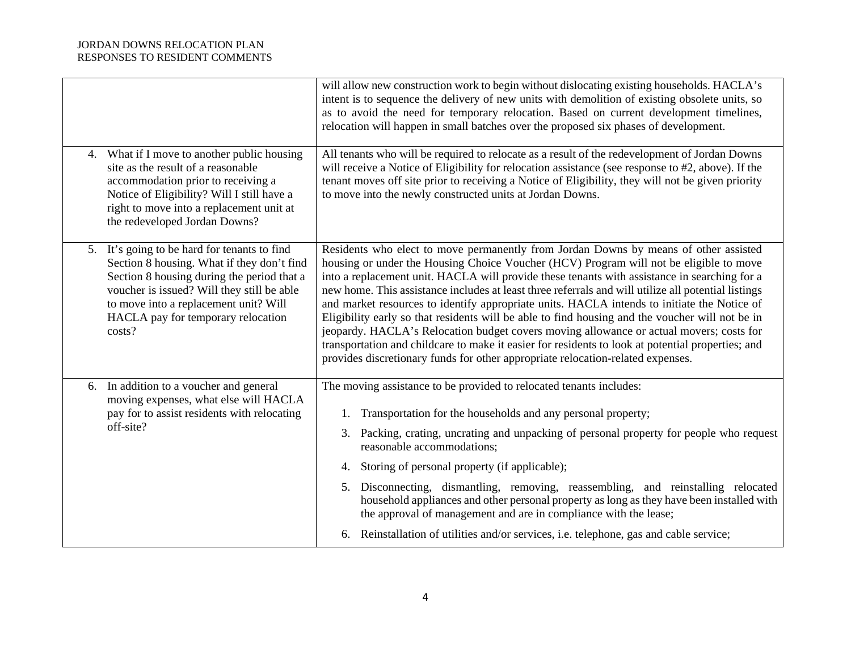|    |                                                                                                                                                                                                                                                                              | will allow new construction work to begin without dislocating existing households. HACLA's<br>intent is to sequence the delivery of new units with demolition of existing obsolete units, so<br>as to avoid the need for temporary relocation. Based on current development timelines,<br>relocation will happen in small batches over the proposed six phases of development.                                                                                                                                                                                                                                                                                                                                                                                                                                                                                             |
|----|------------------------------------------------------------------------------------------------------------------------------------------------------------------------------------------------------------------------------------------------------------------------------|----------------------------------------------------------------------------------------------------------------------------------------------------------------------------------------------------------------------------------------------------------------------------------------------------------------------------------------------------------------------------------------------------------------------------------------------------------------------------------------------------------------------------------------------------------------------------------------------------------------------------------------------------------------------------------------------------------------------------------------------------------------------------------------------------------------------------------------------------------------------------|
|    | 4. What if I move to another public housing<br>site as the result of a reasonable<br>accommodation prior to receiving a<br>Notice of Eligibility? Will I still have a<br>right to move into a replacement unit at<br>the redeveloped Jordan Downs?                           | All tenants who will be required to relocate as a result of the redevelopment of Jordan Downs<br>will receive a Notice of Eligibility for relocation assistance (see response to #2, above). If the<br>tenant moves off site prior to receiving a Notice of Eligibility, they will not be given priority<br>to move into the newly constructed units at Jordan Downs.                                                                                                                                                                                                                                                                                                                                                                                                                                                                                                      |
| 5. | It's going to be hard for tenants to find<br>Section 8 housing. What if they don't find<br>Section 8 housing during the period that a<br>voucher is issued? Will they still be able<br>to move into a replacement unit? Will<br>HACLA pay for temporary relocation<br>costs? | Residents who elect to move permanently from Jordan Downs by means of other assisted<br>housing or under the Housing Choice Voucher (HCV) Program will not be eligible to move<br>into a replacement unit. HACLA will provide these tenants with assistance in searching for a<br>new home. This assistance includes at least three referrals and will utilize all potential listings<br>and market resources to identify appropriate units. HACLA intends to initiate the Notice of<br>Eligibility early so that residents will be able to find housing and the voucher will not be in<br>jeopardy. HACLA's Relocation budget covers moving allowance or actual movers; costs for<br>transportation and childcare to make it easier for residents to look at potential properties; and<br>provides discretionary funds for other appropriate relocation-related expenses. |
|    | 6. In addition to a voucher and general<br>moving expenses, what else will HACLA<br>pay for to assist residents with relocating<br>off-site?                                                                                                                                 | The moving assistance to be provided to relocated tenants includes:<br>Transportation for the households and any personal property;<br>1.<br>3. Packing, crating, uncrating and unpacking of personal property for people who request<br>reasonable accommodations;<br>Storing of personal property (if applicable);<br>4.<br>Disconnecting, dismantling, removing, reassembling, and reinstalling relocated<br>5.<br>household appliances and other personal property as long as they have been installed with<br>the approval of management and are in compliance with the lease;<br>Reinstallation of utilities and/or services, i.e. telephone, gas and cable service;<br>6.                                                                                                                                                                                           |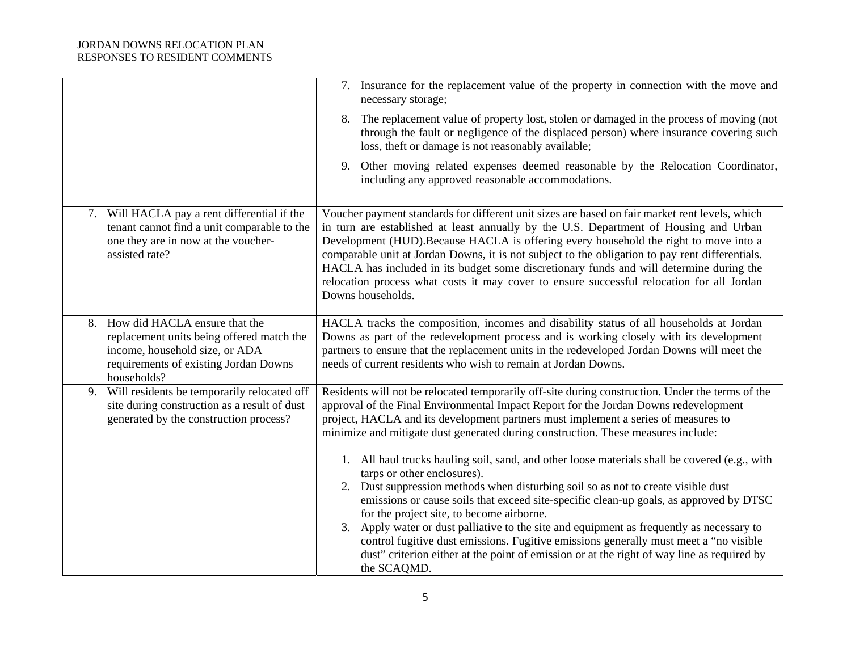|                                                                                                                                                                         | 7. Insurance for the replacement value of the property in connection with the move and<br>necessary storage;                                                                                                                                                                                                                                                                                                                                                                                                                                                                                                                                                                                                                                                                                                                                                                                                                                                                                                                       |
|-------------------------------------------------------------------------------------------------------------------------------------------------------------------------|------------------------------------------------------------------------------------------------------------------------------------------------------------------------------------------------------------------------------------------------------------------------------------------------------------------------------------------------------------------------------------------------------------------------------------------------------------------------------------------------------------------------------------------------------------------------------------------------------------------------------------------------------------------------------------------------------------------------------------------------------------------------------------------------------------------------------------------------------------------------------------------------------------------------------------------------------------------------------------------------------------------------------------|
|                                                                                                                                                                         | 8. The replacement value of property lost, stolen or damaged in the process of moving (not<br>through the fault or negligence of the displaced person) where insurance covering such<br>loss, theft or damage is not reasonably available;                                                                                                                                                                                                                                                                                                                                                                                                                                                                                                                                                                                                                                                                                                                                                                                         |
|                                                                                                                                                                         | 9. Other moving related expenses deemed reasonable by the Relocation Coordinator,<br>including any approved reasonable accommodations.                                                                                                                                                                                                                                                                                                                                                                                                                                                                                                                                                                                                                                                                                                                                                                                                                                                                                             |
| 7. Will HACLA pay a rent differential if the<br>tenant cannot find a unit comparable to the<br>one they are in now at the voucher-<br>assisted rate?                    | Voucher payment standards for different unit sizes are based on fair market rent levels, which<br>in turn are established at least annually by the U.S. Department of Housing and Urban<br>Development (HUD). Because HACLA is offering every household the right to move into a<br>comparable unit at Jordan Downs, it is not subject to the obligation to pay rent differentials.<br>HACLA has included in its budget some discretionary funds and will determine during the<br>relocation process what costs it may cover to ensure successful relocation for all Jordan<br>Downs households.                                                                                                                                                                                                                                                                                                                                                                                                                                   |
| 8. How did HACLA ensure that the<br>replacement units being offered match the<br>income, household size, or ADA<br>requirements of existing Jordan Downs<br>households? | HACLA tracks the composition, incomes and disability status of all households at Jordan<br>Downs as part of the redevelopment process and is working closely with its development<br>partners to ensure that the replacement units in the redeveloped Jordan Downs will meet the<br>needs of current residents who wish to remain at Jordan Downs.                                                                                                                                                                                                                                                                                                                                                                                                                                                                                                                                                                                                                                                                                 |
| Will residents be temporarily relocated off<br>9.<br>site during construction as a result of dust<br>generated by the construction process?                             | Residents will not be relocated temporarily off-site during construction. Under the terms of the<br>approval of the Final Environmental Impact Report for the Jordan Downs redevelopment<br>project, HACLA and its development partners must implement a series of measures to<br>minimize and mitigate dust generated during construction. These measures include:<br>1. All haul trucks hauling soil, sand, and other loose materials shall be covered (e.g., with<br>tarps or other enclosures).<br>2. Dust suppression methods when disturbing soil so as not to create visible dust<br>emissions or cause soils that exceed site-specific clean-up goals, as approved by DTSC<br>for the project site, to become airborne.<br>3. Apply water or dust palliative to the site and equipment as frequently as necessary to<br>control fugitive dust emissions. Fugitive emissions generally must meet a "no visible<br>dust" criterion either at the point of emission or at the right of way line as required by<br>the SCAQMD. |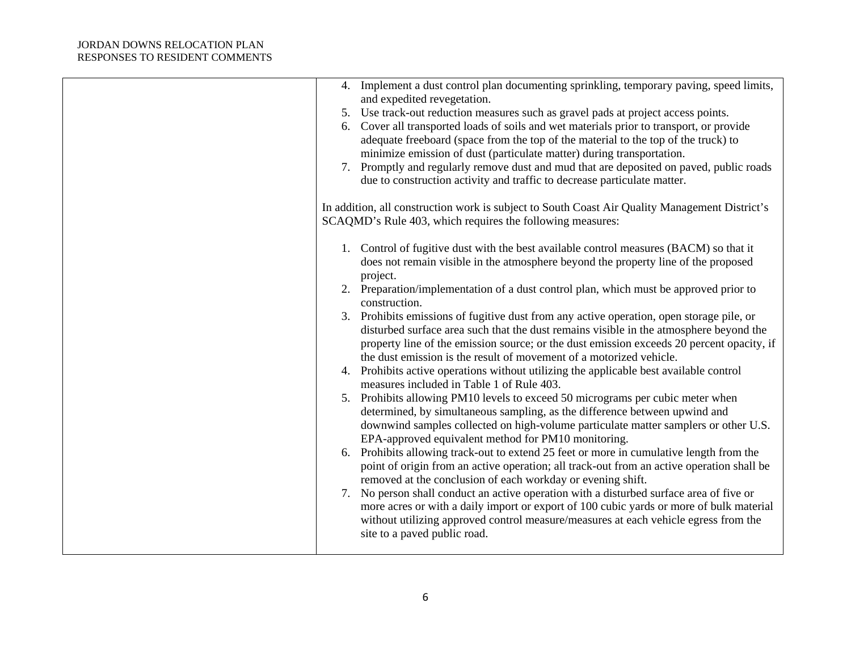| 4. Implement a dust control plan documenting sprinkling, temporary paving, speed limits,<br>and expedited revegetation. |
|-------------------------------------------------------------------------------------------------------------------------|
| 5. Use track-out reduction measures such as gravel pads at project access points.                                       |
| 6. Cover all transported loads of soils and wet materials prior to transport, or provide                                |
| adequate freeboard (space from the top of the material to the top of the truck) to                                      |
| minimize emission of dust (particulate matter) during transportation.                                                   |
| 7. Promptly and regularly remove dust and mud that are deposited on paved, public roads                                 |
| due to construction activity and traffic to decrease particulate matter.                                                |
|                                                                                                                         |
| In addition, all construction work is subject to South Coast Air Quality Management District's                          |
| SCAQMD's Rule 403, which requires the following measures:                                                               |
|                                                                                                                         |
| 1. Control of fugitive dust with the best available control measures (BACM) so that it                                  |
| does not remain visible in the atmosphere beyond the property line of the proposed                                      |
| project.                                                                                                                |
| 2. Preparation/implementation of a dust control plan, which must be approved prior to<br>construction.                  |
| 3. Prohibits emissions of fugitive dust from any active operation, open storage pile, or                                |
| disturbed surface area such that the dust remains visible in the atmosphere beyond the                                  |
| property line of the emission source; or the dust emission exceeds 20 percent opacity, if                               |
| the dust emission is the result of movement of a motorized vehicle.                                                     |
| 4. Prohibits active operations without utilizing the applicable best available control                                  |
| measures included in Table 1 of Rule 403.                                                                               |
| Prohibits allowing PM10 levels to exceed 50 micrograms per cubic meter when<br>5.                                       |
| determined, by simultaneous sampling, as the difference between upwind and                                              |
| downwind samples collected on high-volume particulate matter samplers or other U.S.                                     |
| EPA-approved equivalent method for PM10 monitoring.                                                                     |
| 6. Prohibits allowing track-out to extend 25 feet or more in cumulative length from the                                 |
| point of origin from an active operation; all track-out from an active operation shall be                               |
| removed at the conclusion of each workday or evening shift.                                                             |
| No person shall conduct an active operation with a disturbed surface area of five or<br>7.                              |
| more acres or with a daily import or export of 100 cubic yards or more of bulk material                                 |
| without utilizing approved control measure/measures at each vehicle egress from the                                     |
| site to a paved public road.                                                                                            |
|                                                                                                                         |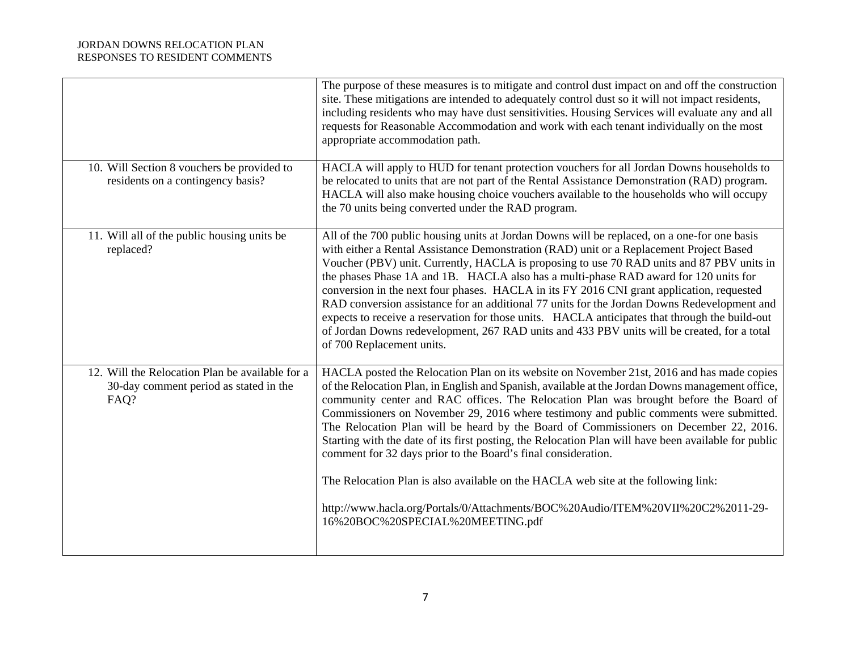|                                                                                                   | The purpose of these measures is to mitigate and control dust impact on and off the construction<br>site. These mitigations are intended to adequately control dust so it will not impact residents,<br>including residents who may have dust sensitivities. Housing Services will evaluate any and all<br>requests for Reasonable Accommodation and work with each tenant individually on the most<br>appropriate accommodation path.                                                                                                                                                                                                                                                                                                                                                                                                                           |
|---------------------------------------------------------------------------------------------------|------------------------------------------------------------------------------------------------------------------------------------------------------------------------------------------------------------------------------------------------------------------------------------------------------------------------------------------------------------------------------------------------------------------------------------------------------------------------------------------------------------------------------------------------------------------------------------------------------------------------------------------------------------------------------------------------------------------------------------------------------------------------------------------------------------------------------------------------------------------|
| 10. Will Section 8 vouchers be provided to<br>residents on a contingency basis?                   | HACLA will apply to HUD for tenant protection vouchers for all Jordan Downs households to<br>be relocated to units that are not part of the Rental Assistance Demonstration (RAD) program.<br>HACLA will also make housing choice vouchers available to the households who will occupy<br>the 70 units being converted under the RAD program.                                                                                                                                                                                                                                                                                                                                                                                                                                                                                                                    |
| 11. Will all of the public housing units be<br>replaced?                                          | All of the 700 public housing units at Jordan Downs will be replaced, on a one-for one basis<br>with either a Rental Assistance Demonstration (RAD) unit or a Replacement Project Based<br>Voucher (PBV) unit. Currently, HACLA is proposing to use 70 RAD units and 87 PBV units in<br>the phases Phase 1A and 1B. HACLA also has a multi-phase RAD award for 120 units for<br>conversion in the next four phases. HACLA in its FY 2016 CNI grant application, requested<br>RAD conversion assistance for an additional 77 units for the Jordan Downs Redevelopment and<br>expects to receive a reservation for those units. HACLA anticipates that through the build-out<br>of Jordan Downs redevelopment, 267 RAD units and 433 PBV units will be created, for a total<br>of 700 Replacement units.                                                           |
| 12. Will the Relocation Plan be available for a<br>30-day comment period as stated in the<br>FAQ? | HACLA posted the Relocation Plan on its website on November 21st, 2016 and has made copies<br>of the Relocation Plan, in English and Spanish, available at the Jordan Downs management office,<br>community center and RAC offices. The Relocation Plan was brought before the Board of<br>Commissioners on November 29, 2016 where testimony and public comments were submitted.<br>The Relocation Plan will be heard by the Board of Commissioners on December 22, 2016.<br>Starting with the date of its first posting, the Relocation Plan will have been available for public<br>comment for 32 days prior to the Board's final consideration.<br>The Relocation Plan is also available on the HACLA web site at the following link:<br>http://www.hacla.org/Portals/0/Attachments/BOC%20Audio/ITEM%20VII%20C2%2011-29-<br>16%20BOC%20SPECIAL%20MEETING.pdf |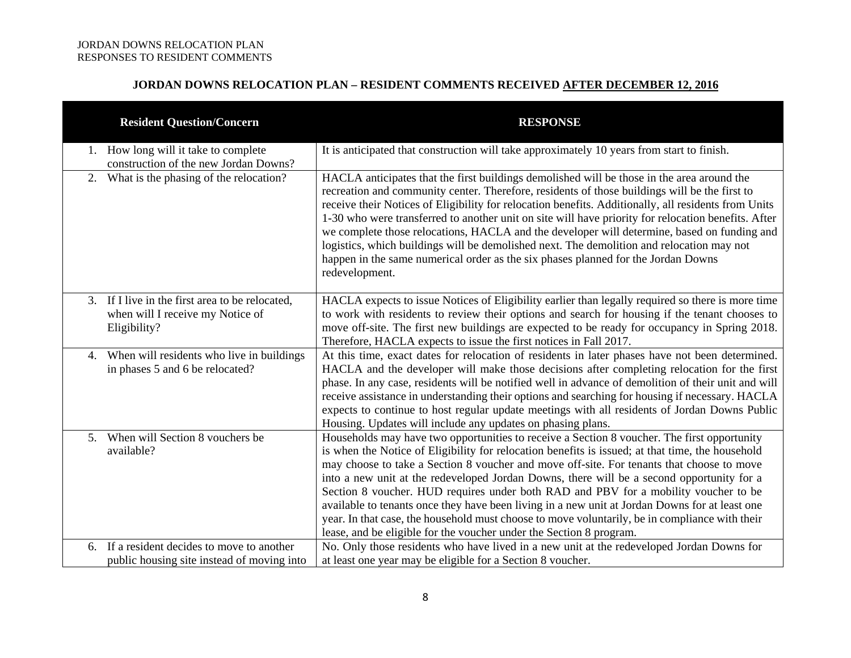# **JORDAN DOWNS RELOCATION PLAN – RESIDENT COMMENTS RECEIVED AFTER DECEMBER 12, 2016**

| <b>Resident Question/Concern</b>                                                                    | <b>RESPONSE</b>                                                                                                                                                                                                                                                                                                                                                                                                                                                                                                                                                                                                                                                                                                                                             |
|-----------------------------------------------------------------------------------------------------|-------------------------------------------------------------------------------------------------------------------------------------------------------------------------------------------------------------------------------------------------------------------------------------------------------------------------------------------------------------------------------------------------------------------------------------------------------------------------------------------------------------------------------------------------------------------------------------------------------------------------------------------------------------------------------------------------------------------------------------------------------------|
| 1. How long will it take to complete<br>construction of the new Jordan Downs?                       | It is anticipated that construction will take approximately 10 years from start to finish.                                                                                                                                                                                                                                                                                                                                                                                                                                                                                                                                                                                                                                                                  |
| 2. What is the phasing of the relocation?                                                           | HACLA anticipates that the first buildings demolished will be those in the area around the<br>recreation and community center. Therefore, residents of those buildings will be the first to<br>receive their Notices of Eligibility for relocation benefits. Additionally, all residents from Units<br>1-30 who were transferred to another unit on site will have priority for relocation benefits. After<br>we complete those relocations, HACLA and the developer will determine, based on funding and<br>logistics, which buildings will be demolished next. The demolition and relocation may not<br>happen in the same numerical order as the six phases planned for the Jordan Downs<br>redevelopment.                                               |
| 3. If I live in the first area to be relocated,<br>when will I receive my Notice of<br>Eligibility? | HACLA expects to issue Notices of Eligibility earlier than legally required so there is more time<br>to work with residents to review their options and search for housing if the tenant chooses to<br>move off-site. The first new buildings are expected to be ready for occupancy in Spring 2018.<br>Therefore, HACLA expects to issue the first notices in Fall 2017.                                                                                                                                                                                                                                                                                                                                                                                   |
| When will residents who live in buildings<br>4.<br>in phases 5 and 6 be relocated?                  | At this time, exact dates for relocation of residents in later phases have not been determined.<br>HACLA and the developer will make those decisions after completing relocation for the first<br>phase. In any case, residents will be notified well in advance of demolition of their unit and will<br>receive assistance in understanding their options and searching for housing if necessary. HACLA<br>expects to continue to host regular update meetings with all residents of Jordan Downs Public<br>Housing. Updates will include any updates on phasing plans.                                                                                                                                                                                    |
| 5. When will Section 8 vouchers be<br>available?                                                    | Households may have two opportunities to receive a Section 8 voucher. The first opportunity<br>is when the Notice of Eligibility for relocation benefits is issued; at that time, the household<br>may choose to take a Section 8 voucher and move off-site. For tenants that choose to move<br>into a new unit at the redeveloped Jordan Downs, there will be a second opportunity for a<br>Section 8 voucher. HUD requires under both RAD and PBV for a mobility voucher to be<br>available to tenants once they have been living in a new unit at Jordan Downs for at least one<br>year. In that case, the household must choose to move voluntarily, be in compliance with their<br>lease, and be eligible for the voucher under the Section 8 program. |
| If a resident decides to move to another<br>6.<br>public housing site instead of moving into        | No. Only those residents who have lived in a new unit at the redeveloped Jordan Downs for<br>at least one year may be eligible for a Section 8 voucher.                                                                                                                                                                                                                                                                                                                                                                                                                                                                                                                                                                                                     |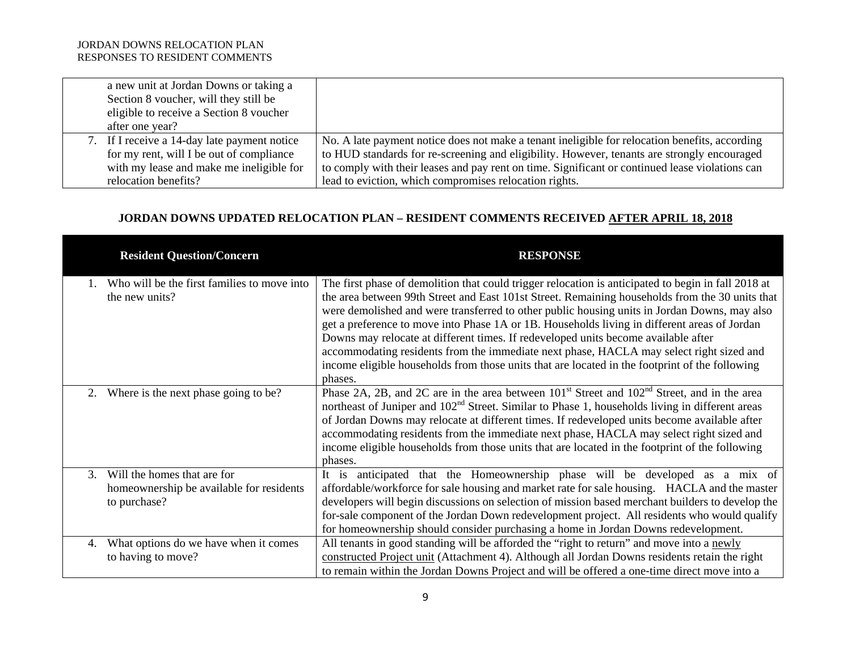| a new unit at Jordan Downs or taking a<br>Section 8 voucher, will they still be<br>eligible to receive a Section 8 voucher<br>after one year? |                                                                                                                                                                                                                                                                                                  |
|-----------------------------------------------------------------------------------------------------------------------------------------------|--------------------------------------------------------------------------------------------------------------------------------------------------------------------------------------------------------------------------------------------------------------------------------------------------|
| 7. If I receive a 14-day late payment notice<br>for my rent, will I be out of compliance<br>with my lease and make me ineligible for          | No. A late payment notice does not make a tenant ineligible for relocation benefits, according<br>to HUD standards for re-screening and eligibility. However, tenants are strongly encouraged<br>to comply with their leases and pay rent on time. Significant or continued lease violations can |
| relocation benefits?                                                                                                                          | lead to eviction, which compromises relocation rights.                                                                                                                                                                                                                                           |

# **JORDAN DOWNS UPDATED RELOCATION PLAN – RESIDENT COMMENTS RECEIVED AFTER APRIL 18, 2018**

| <b>Resident Question/Concern</b>            | <b>RESPONSE</b>                                                                                                                                                                                                                    |
|---------------------------------------------|------------------------------------------------------------------------------------------------------------------------------------------------------------------------------------------------------------------------------------|
| Who will be the first families to move into | The first phase of demolition that could trigger relocation is anticipated to begin in fall 2018 at                                                                                                                                |
| the new units?                              | the area between 99th Street and East 101st Street. Remaining households from the 30 units that                                                                                                                                    |
|                                             | were demolished and were transferred to other public housing units in Jordan Downs, may also<br>get a preference to move into Phase 1A or 1B. Households living in different areas of Jordan                                       |
|                                             | Downs may relocate at different times. If redeveloped units become available after                                                                                                                                                 |
|                                             | accommodating residents from the immediate next phase, HACLA may select right sized and                                                                                                                                            |
|                                             | income eligible households from those units that are located in the footprint of the following                                                                                                                                     |
|                                             | phases.                                                                                                                                                                                                                            |
| Where is the next phase going to be?<br>2.  | Phase 2A, 2B, and 2C are in the area between 101 <sup>st</sup> Street and 102 <sup>nd</sup> Street, and in the area<br>northeast of Juniper and 102 <sup>nd</sup> Street. Similar to Phase 1, households living in different areas |
|                                             | of Jordan Downs may relocate at different times. If redeveloped units become available after                                                                                                                                       |
|                                             | accommodating residents from the immediate next phase, HACLA may select right sized and                                                                                                                                            |
|                                             | income eligible households from those units that are located in the footprint of the following                                                                                                                                     |
|                                             | phases.                                                                                                                                                                                                                            |
| Will the homes that are for<br>3.           | anticipated that the Homeownership phase will be developed as a mix of<br>It is                                                                                                                                                    |
| homeownership be available for residents    | affordable/workforce for sale housing and market rate for sale housing. HACLA and the master                                                                                                                                       |
| to purchase?                                | developers will begin discussions on selection of mission based merchant builders to develop the                                                                                                                                   |
|                                             | for-sale component of the Jordan Down redevelopment project. All residents who would qualify                                                                                                                                       |
|                                             | for homeownership should consider purchasing a home in Jordan Downs redevelopment.                                                                                                                                                 |
| What options do we have when it comes<br>4. | All tenants in good standing will be afforded the "right to return" and move into a newly                                                                                                                                          |
| to having to move?                          | constructed Project unit (Attachment 4). Although all Jordan Downs residents retain the right                                                                                                                                      |
|                                             | to remain within the Jordan Downs Project and will be offered a one-time direct move into a                                                                                                                                        |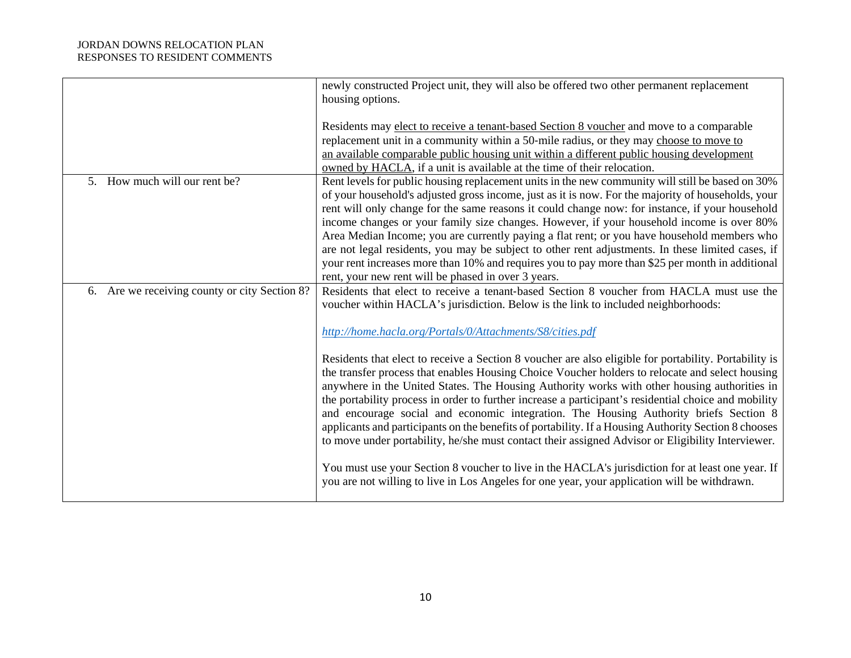|                                               | newly constructed Project unit, they will also be offered two other permanent replacement<br>housing options.                                                                                     |
|-----------------------------------------------|---------------------------------------------------------------------------------------------------------------------------------------------------------------------------------------------------|
|                                               | Residents may elect to receive a tenant-based Section 8 voucher and move to a comparable                                                                                                          |
|                                               | replacement unit in a community within a 50-mile radius, or they may choose to move to                                                                                                            |
|                                               | an available comparable public housing unit within a different public housing development                                                                                                         |
|                                               | owned by HACLA, if a unit is available at the time of their relocation.                                                                                                                           |
| 5. How much will our rent be?                 | Rent levels for public housing replacement units in the new community will still be based on 30%                                                                                                  |
|                                               | of your household's adjusted gross income, just as it is now. For the majority of households, your                                                                                                |
|                                               | rent will only change for the same reasons it could change now: for instance, if your household                                                                                                   |
|                                               | income changes or your family size changes. However, if your household income is over 80%                                                                                                         |
|                                               | Area Median Income; you are currently paying a flat rent; or you have household members who<br>are not legal residents, you may be subject to other rent adjustments. In these limited cases, if  |
|                                               | your rent increases more than 10% and requires you to pay more than \$25 per month in additional                                                                                                  |
|                                               | rent, your new rent will be phased in over 3 years.                                                                                                                                               |
| 6. Are we receiving county or city Section 8? | Residents that elect to receive a tenant-based Section 8 voucher from HACLA must use the                                                                                                          |
|                                               | voucher within HACLA's jurisdiction. Below is the link to included neighborhoods:                                                                                                                 |
|                                               | http://home.hacla.org/Portals/0/Attachments/S8/cities.pdf                                                                                                                                         |
|                                               | Residents that elect to receive a Section 8 voucher are also eligible for portability. Portability is                                                                                             |
|                                               | the transfer process that enables Housing Choice Voucher holders to relocate and select housing                                                                                                   |
|                                               | anywhere in the United States. The Housing Authority works with other housing authorities in                                                                                                      |
|                                               | the portability process in order to further increase a participant's residential choice and mobility                                                                                              |
|                                               | and encourage social and economic integration. The Housing Authority briefs Section 8                                                                                                             |
|                                               | applicants and participants on the benefits of portability. If a Housing Authority Section 8 chooses                                                                                              |
|                                               | to move under portability, he/she must contact their assigned Advisor or Eligibility Interviewer.                                                                                                 |
|                                               | You must use your Section 8 voucher to live in the HACLA's jurisdiction for at least one year. If<br>you are not willing to live in Los Angeles for one year, your application will be withdrawn. |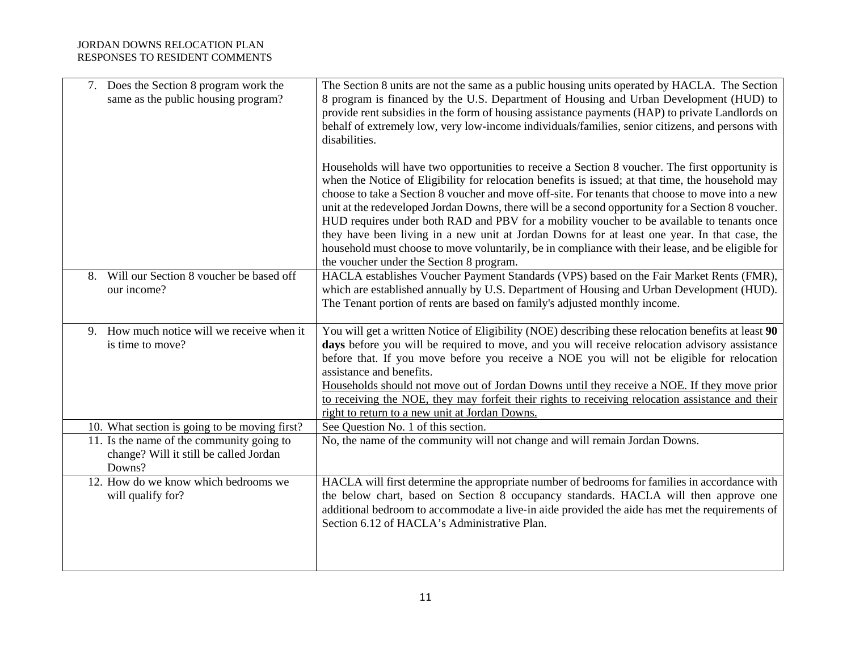| 7. Does the Section 8 program work the<br>same as the public housing program?                 | The Section 8 units are not the same as a public housing units operated by HACLA. The Section<br>8 program is financed by the U.S. Department of Housing and Urban Development (HUD) to<br>provide rent subsidies in the form of housing assistance payments (HAP) to private Landlords on<br>behalf of extremely low, very low-income individuals/families, senior citizens, and persons with<br>disabilities.                                                                                                                                                                                                                                                                                                                                              |
|-----------------------------------------------------------------------------------------------|--------------------------------------------------------------------------------------------------------------------------------------------------------------------------------------------------------------------------------------------------------------------------------------------------------------------------------------------------------------------------------------------------------------------------------------------------------------------------------------------------------------------------------------------------------------------------------------------------------------------------------------------------------------------------------------------------------------------------------------------------------------|
|                                                                                               | Households will have two opportunities to receive a Section 8 voucher. The first opportunity is<br>when the Notice of Eligibility for relocation benefits is issued; at that time, the household may<br>choose to take a Section 8 voucher and move off-site. For tenants that choose to move into a new<br>unit at the redeveloped Jordan Downs, there will be a second opportunity for a Section 8 voucher.<br>HUD requires under both RAD and PBV for a mobility voucher to be available to tenants once<br>they have been living in a new unit at Jordan Downs for at least one year. In that case, the<br>household must choose to move voluntarily, be in compliance with their lease, and be eligible for<br>the voucher under the Section 8 program. |
| Will our Section 8 voucher be based off<br>8.<br>our income?                                  | HACLA establishes Voucher Payment Standards (VPS) based on the Fair Market Rents (FMR),<br>which are established annually by U.S. Department of Housing and Urban Development (HUD).<br>The Tenant portion of rents are based on family's adjusted monthly income.                                                                                                                                                                                                                                                                                                                                                                                                                                                                                           |
| 9. How much notice will we receive when it<br>is time to move?                                | You will get a written Notice of Eligibility (NOE) describing these relocation benefits at least 90<br>days before you will be required to move, and you will receive relocation advisory assistance<br>before that. If you move before you receive a NOE you will not be eligible for relocation<br>assistance and benefits.<br>Households should not move out of Jordan Downs until they receive a NOE. If they move prior<br>to receiving the NOE, they may forfeit their rights to receiving relocation assistance and their<br>right to return to a new unit at Jordan Downs.                                                                                                                                                                           |
| 10. What section is going to be moving first?                                                 | See Question No. 1 of this section.                                                                                                                                                                                                                                                                                                                                                                                                                                                                                                                                                                                                                                                                                                                          |
| 11. Is the name of the community going to<br>change? Will it still be called Jordan<br>Downs? | No, the name of the community will not change and will remain Jordan Downs.                                                                                                                                                                                                                                                                                                                                                                                                                                                                                                                                                                                                                                                                                  |
| 12. How do we know which bedrooms we<br>will qualify for?                                     | HACLA will first determine the appropriate number of bedrooms for families in accordance with<br>the below chart, based on Section 8 occupancy standards. HACLA will then approve one<br>additional bedroom to accommodate a live-in aide provided the aide has met the requirements of<br>Section 6.12 of HACLA's Administrative Plan.                                                                                                                                                                                                                                                                                                                                                                                                                      |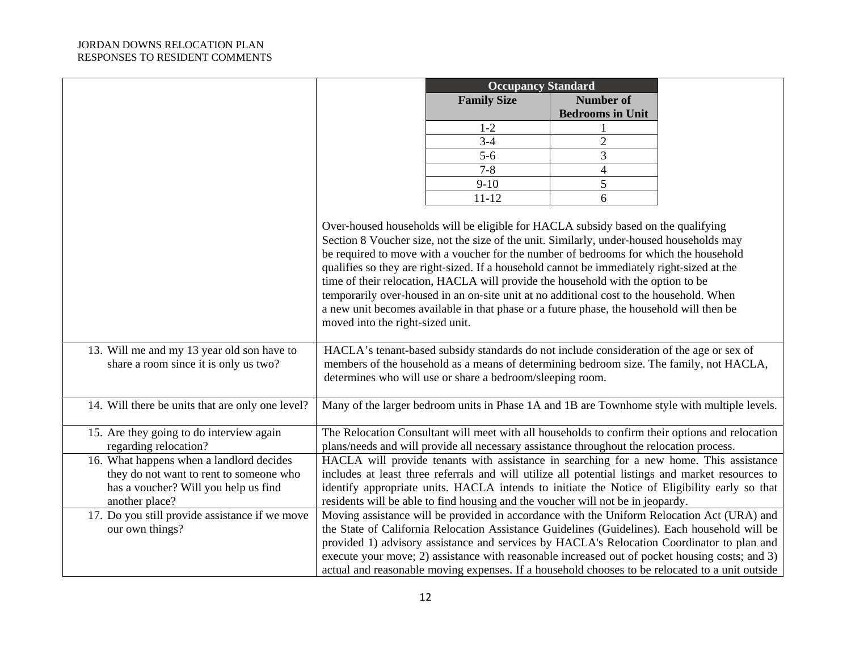|                                                                   |                                                                                                                                                                                                                                                                        | <b>Occupancy Standard</b>                                                                         |                         |  |
|-------------------------------------------------------------------|------------------------------------------------------------------------------------------------------------------------------------------------------------------------------------------------------------------------------------------------------------------------|---------------------------------------------------------------------------------------------------|-------------------------|--|
|                                                                   |                                                                                                                                                                                                                                                                        | <b>Family Size</b>                                                                                | <b>Number of</b>        |  |
|                                                                   |                                                                                                                                                                                                                                                                        |                                                                                                   | <b>Bedrooms in Unit</b> |  |
|                                                                   |                                                                                                                                                                                                                                                                        | $1 - 2$                                                                                           |                         |  |
|                                                                   |                                                                                                                                                                                                                                                                        | $3-4$                                                                                             | $\overline{2}$          |  |
|                                                                   |                                                                                                                                                                                                                                                                        | $5-6$                                                                                             | 3                       |  |
|                                                                   |                                                                                                                                                                                                                                                                        | $7 - 8$                                                                                           | $\overline{4}$          |  |
|                                                                   |                                                                                                                                                                                                                                                                        | $9-10$                                                                                            | 5                       |  |
|                                                                   |                                                                                                                                                                                                                                                                        | $11 - 12$                                                                                         | 6                       |  |
|                                                                   |                                                                                                                                                                                                                                                                        |                                                                                                   |                         |  |
|                                                                   |                                                                                                                                                                                                                                                                        |                                                                                                   |                         |  |
|                                                                   | Over-housed households will be eligible for HACLA subsidy based on the qualifying<br>Section 8 Voucher size, not the size of the unit. Similarly, under-housed households may<br>be required to move with a voucher for the number of bedrooms for which the household |                                                                                                   |                         |  |
|                                                                   |                                                                                                                                                                                                                                                                        |                                                                                                   |                         |  |
|                                                                   |                                                                                                                                                                                                                                                                        | qualifies so they are right-sized. If a household cannot be immediately right-sized at the        |                         |  |
|                                                                   |                                                                                                                                                                                                                                                                        | time of their relocation, HACLA will provide the household with the option to be                  |                         |  |
|                                                                   |                                                                                                                                                                                                                                                                        | temporarily over-housed in an on-site unit at no additional cost to the household. When           |                         |  |
|                                                                   |                                                                                                                                                                                                                                                                        |                                                                                                   |                         |  |
|                                                                   |                                                                                                                                                                                                                                                                        | a new unit becomes available in that phase or a future phase, the household will then be          |                         |  |
|                                                                   | moved into the right-sized unit.                                                                                                                                                                                                                                       |                                                                                                   |                         |  |
|                                                                   |                                                                                                                                                                                                                                                                        |                                                                                                   |                         |  |
| 13. Will me and my 13 year old son have to                        |                                                                                                                                                                                                                                                                        | HACLA's tenant-based subsidy standards do not include consideration of the age or sex of          |                         |  |
| share a room since it is only us two?                             |                                                                                                                                                                                                                                                                        | members of the household as a means of determining bedroom size. The family, not HACLA,           |                         |  |
|                                                                   |                                                                                                                                                                                                                                                                        | determines who will use or share a bedroom/sleeping room.                                         |                         |  |
|                                                                   |                                                                                                                                                                                                                                                                        |                                                                                                   |                         |  |
| 14. Will there be units that are only one level?                  |                                                                                                                                                                                                                                                                        | Many of the larger bedroom units in Phase 1A and 1B are Townhome style with multiple levels.      |                         |  |
|                                                                   |                                                                                                                                                                                                                                                                        |                                                                                                   |                         |  |
| 15. Are they going to do interview again                          | The Relocation Consultant will meet with all households to confirm their options and relocation<br>plans/needs and will provide all necessary assistance throughout the relocation process.                                                                            |                                                                                                   |                         |  |
| regarding relocation?                                             |                                                                                                                                                                                                                                                                        |                                                                                                   |                         |  |
| 16. What happens when a landlord decides                          |                                                                                                                                                                                                                                                                        | HACLA will provide tenants with assistance in searching for a new home. This assistance           |                         |  |
| they do not want to rent to someone who                           |                                                                                                                                                                                                                                                                        | includes at least three referrals and will utilize all potential listings and market resources to |                         |  |
| has a voucher? Will you help us find                              | identify appropriate units. HACLA intends to initiate the Notice of Eligibility early so that                                                                                                                                                                          |                                                                                                   |                         |  |
| another place?                                                    |                                                                                                                                                                                                                                                                        | residents will be able to find housing and the voucher will not be in jeopardy.                   |                         |  |
| 17. Do you still provide assistance if we move<br>our own things? | Moving assistance will be provided in accordance with the Uniform Relocation Act (URA) and                                                                                                                                                                             |                                                                                                   |                         |  |
|                                                                   | the State of California Relocation Assistance Guidelines (Guidelines). Each household will be                                                                                                                                                                          |                                                                                                   |                         |  |
|                                                                   |                                                                                                                                                                                                                                                                        | provided 1) advisory assistance and services by HACLA's Relocation Coordinator to plan and        |                         |  |
|                                                                   | execute your move; 2) assistance with reasonable increased out of pocket housing costs; and 3)                                                                                                                                                                         |                                                                                                   |                         |  |
|                                                                   |                                                                                                                                                                                                                                                                        | actual and reasonable moving expenses. If a household chooses to be relocated to a unit outside   |                         |  |